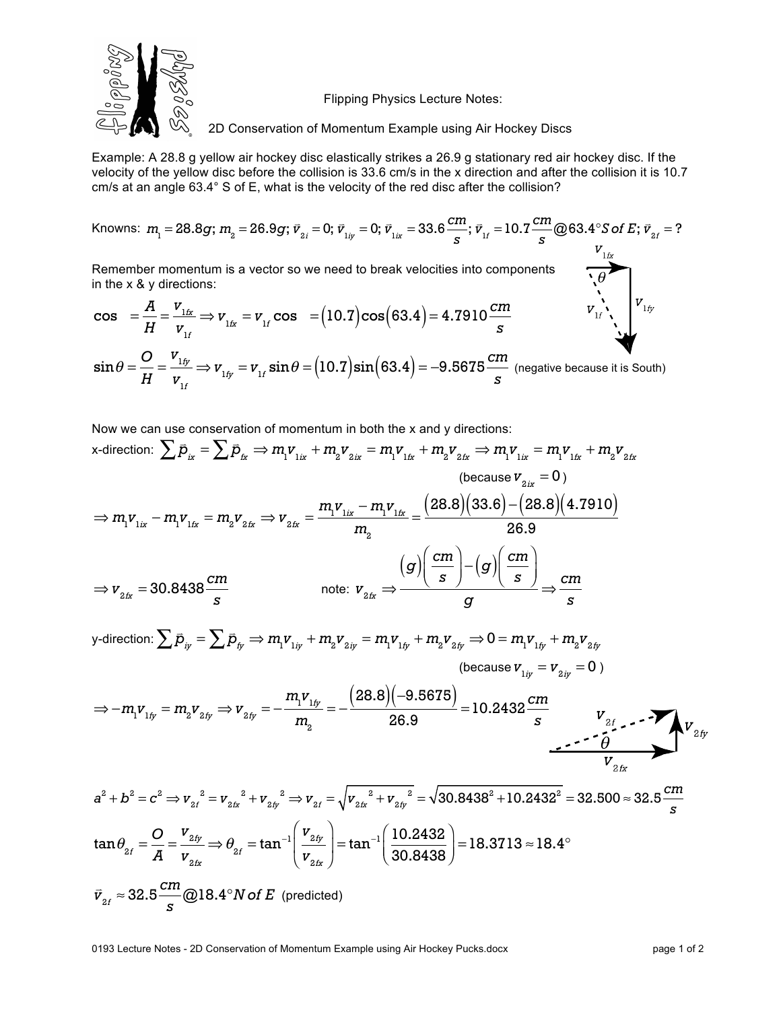

Flipping Physics Lecture Notes:

2D Conservation of Momentum Example using Air Hockey Discs

Example: A 28.8 g yellow air hockey disc elastically strikes a 26.9 g stationary red air hockey disc. If the velocity of the yellow disc before the collision is 33.6 cm/s in the x direction and after the collision it is 10.7 cm/s at an angle 63.4° S of E, what is the velocity of the red disc after the collision?

Knowns:  $m_{\text{l}} = 28.8g$ ;  $m_{\text{2}} = 26.9g$ ;  $\bar{v}_{\text{2}i} = 0$ ;  $\bar{v}_{\text{l}i\text{y}} = 0$ ;  $\bar{v}_{\text{l}i\text{x}} = 33.6 \frac{cm}{s}$ ;  $\vec{v}_{1f} = 10.7 \frac{cm}{s}$ @63.4°*S* of *E*;  $\bar{v}_{2f} = ?$ 

Remember momentum is a vector so we need to break velocities into components in the x & y directions:

$$
\cos = \frac{A}{H} = \frac{v_{1tx}}{v_{1t}} \Rightarrow v_{1tx} = v_{1t} \cos = (10.7)\cos(63.4) = 4.7910 \frac{cm}{s}
$$

$$
\sin \theta = \frac{O}{H} = \frac{v_{1fy}}{v_{1f}} \Rightarrow v_{1fy} = v_{1f} \sin \theta = (10.7) \sin (63.4) = -9.5675 \frac{cm}{s}
$$
 (negative because it is South)

Now we can use conservation of momentum in both the x and y directions:

x-direction: 
$$
\sum \vec{p}_{ix} = \sum \vec{p}_{fx} \Rightarrow m_1 v_{1ix} + m_2 v_{2ix} = m_1 v_{1fx} + m_2 v_{2tx} \Rightarrow m_1 v_{1ix} = m_1 v_{1fx} + m_2 v_{2tx}
$$
  
\n(because  $v_{2ix} = 0$ )  
\n $\Rightarrow m_1 v_{1ix} - m_1 v_{1fx} = m_2 v_{2tx} \Rightarrow v_{2tx} = \frac{m_1 v_{1ix} - m_1 v_{1tx}}{m_2} = \frac{(28.8)(33.6) - (28.8)(4.7910)}{26.9}$   
\n $\Rightarrow v_{2tx} = 30.8438 \frac{cm}{s}$   
\nnote:  $v_{2tx} \Rightarrow \frac{(g)(\frac{cm}{s}) - (g)(\frac{cm}{s})}{g} \Rightarrow \frac{cm}{s}$ 

y-direction: 
$$
\sum \overline{p}_{iy} = \sum \overline{p}_{fy} \Rightarrow m_1 v_{1iy} + m_2 v_{2iy} = m_1 v_{1fy} + m_2 v_{2fy} \Rightarrow 0 = m_1 v_{1fy} + m_2 v_{2fy}
$$
  
(because  $v_{1iy} = v_{2iy} = 0$ )

$$
\Rightarrow -m_1 v_{1f_y} = m_2 v_{2f_y} \Rightarrow v_{2f_y} = -\frac{m_1 v_{1f_y}}{m_2} = -\frac{(28.8)(-9.5675)}{26.9} = 10.2432 \frac{cm}{s}
$$

$$
a^{2} + b^{2} = c^{2} \Rightarrow v_{2f}^{2} = v_{2fx}^{2} + v_{2fy}^{2} \Rightarrow v_{2f} = \sqrt{v_{2fx}^{2} + v_{2fy}^{2}} = \sqrt{30.8438^{2} + 10.2432^{2}} = 32.500 \approx 32.5 \frac{cm}{s}
$$
  
\n
$$
\tan \theta_{2f} = \frac{O}{A} = \frac{v_{2fy}}{v_{2fx}} \Rightarrow \theta_{2f} = \tan^{-1} \left( \frac{v_{2fy}}{v_{2fx}} \right) = \tan^{-1} \left( \frac{10.2432}{30.8438} \right) = 18.3713 \approx 18.4^{\circ}
$$
  
\n
$$
\bar{v}_{2f} \approx 32.5 \frac{cm}{s} \text{Q} 18.4^{\circ} N \text{ of } E \text{ (predicted)}
$$

 $\overline{\cdot \theta}$ 

 $\Bigg|\,v_{_{1fy}}\,$